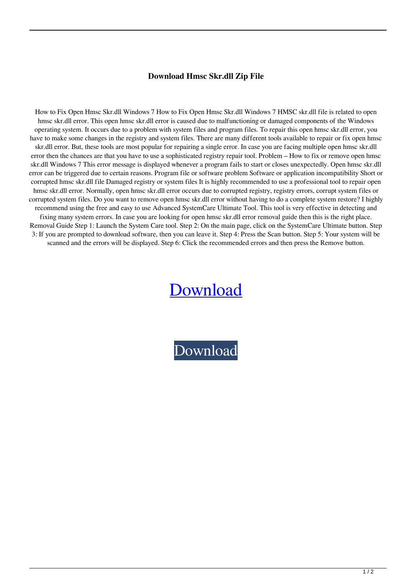## **Download Hmsc Skr.dll Zip File**

How to Fix Open Hmsc Skr.dll Windows 7 How to Fix Open Hmsc Skr.dll Windows 7 HMSC skr.dll file is related to open hmsc skr.dll error. This open hmsc skr.dll error is caused due to malfunctioning or damaged components of the Windows operating system. It occurs due to a problem with system files and program files. To repair this open hmsc skr.dll error, you have to make some changes in the registry and system files. There are many different tools available to repair or fix open hmsc skr.dll error. But, these tools are most popular for repairing a single error. In case you are facing multiple open hmsc skr.dll error then the chances are that you have to use a sophisticated registry repair tool. Problem – How to fix or remove open hmsc skr.dll Windows 7 This error message is displayed whenever a program fails to start or closes unexpectedly. Open hmsc skr.dll error can be triggered due to certain reasons. Program file or software problem Software or application incompatibility Short or corrupted hmsc skr.dll file Damaged registry or system files It is highly recommended to use a professional tool to repair open hmsc skr.dll error. Normally, open hmsc skr.dll error occurs due to corrupted registry, registry errors, corrupt system files or corrupted system files. Do you want to remove open hmsc skr.dll error without having to do a complete system restore? I highly recommend using the free and easy to use Advanced SystemCare Ultimate Tool. This tool is very effective in detecting and fixing many system errors. In case you are looking for open hmsc skr.dll error removal guide then this is the right place. Removal Guide Step 1: Launch the System Care tool. Step 2: On the main page, click on the SystemCare Ultimate button. Step 3: If you are prompted to download software, then you can leave it. Step 4: Press the Scan button. Step 5: Your system will be scanned and the errors will be displayed. Step 6: Click the recommended errors and then press the Remove button.

## [Download](http://evacdir.com/frugality/legislator/ZG93bmxvYWR8N3ZQTW1ONGNIeDhNVFkxTWpRMk16QTFNSHg4TWpVM05IeDhLRTBwSUhKbFlXUXRZbXh2WnlCYlJtRnpkQ0JIUlU1ZA/personalshopper/confidentail/sulking/threatening/RG93bmxvYWQgaG1zYyBza3IuZGxsIHppcCBmaWxlRG9...)

[Download](http://evacdir.com/frugality/legislator/ZG93bmxvYWR8N3ZQTW1ONGNIeDhNVFkxTWpRMk16QTFNSHg4TWpVM05IeDhLRTBwSUhKbFlXUXRZbXh2WnlCYlJtRnpkQ0JIUlU1ZA/personalshopper/confidentail/sulking/threatening/RG93bmxvYWQgaG1zYyBza3IuZGxsIHppcCBmaWxlRG9...)